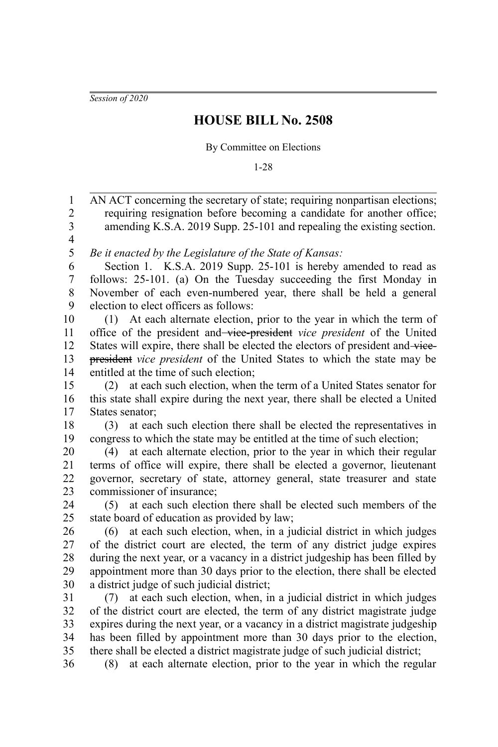*Session of 2020*

## **HOUSE BILL No. 2508**

## By Committee on Elections

1-28

AN ACT concerning the secretary of state; requiring nonpartisan elections; requiring resignation before becoming a candidate for another office; amending K.S.A. 2019 Supp. 25-101 and repealing the existing section. *Be it enacted by the Legislature of the State of Kansas:* Section 1. K.S.A. 2019 Supp. 25-101 is hereby amended to read as follows: 25-101. (a) On the Tuesday succeeding the first Monday in November of each even-numbered year, there shall be held a general election to elect officers as follows: (1) At each alternate election, prior to the year in which the term of office of the president and vice-president *vice president* of the United States will expire, there shall be elected the electors of president and vicepresident *vice president* of the United States to which the state may be entitled at the time of such election; (2) at each such election, when the term of a United States senator for this state shall expire during the next year, there shall be elected a United States senator; (3) at each such election there shall be elected the representatives in congress to which the state may be entitled at the time of such election; (4) at each alternate election, prior to the year in which their regular terms of office will expire, there shall be elected a governor, lieutenant governor, secretary of state, attorney general, state treasurer and state commissioner of insurance; (5) at each such election there shall be elected such members of the state board of education as provided by law; (6) at each such election, when, in a judicial district in which judges of the district court are elected, the term of any district judge expires during the next year, or a vacancy in a district judgeship has been filled by appointment more than 30 days prior to the election, there shall be elected a district judge of such judicial district; (7) at each such election, when, in a judicial district in which judges of the district court are elected, the term of any district magistrate judge expires during the next year, or a vacancy in a district magistrate judgeship has been filled by appointment more than 30 days prior to the election, there shall be elected a district magistrate judge of such judicial district; (8) at each alternate election, prior to the year in which the regular 1 2 3 4 5 6 7 8 9 10 11 12 13 14 15 16 17 18 19 20 21 22 23 24 25 26 27 28 29 30 31 32 33 34 35 36